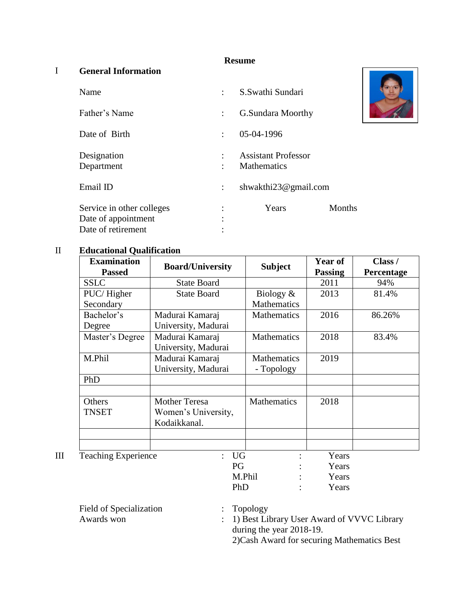## **Resume**

## I **General Information**

| Name                                                                   |                      | S.Swathi Sundari                                 |        |
|------------------------------------------------------------------------|----------------------|--------------------------------------------------|--------|
| Father's Name                                                          | $\ddot{\phantom{0}}$ | <b>G.Sundara Moorthy</b>                         |        |
| Date of Birth                                                          | $\ddot{\phantom{0}}$ | 05-04-1996                                       |        |
| Designation<br>Department                                              |                      | <b>Assistant Professor</b><br><b>Mathematics</b> |        |
| Email ID                                                               |                      | shwakthi23@gmail.com                             |        |
| Service in other colleges<br>Date of appointment<br>Date of retirement |                      | Years                                            | Months |

## II **Educational Qualification**

| <b>Examination</b>                 | <b>Board/University</b> | <b>Subject</b>     | Year of | Class /    |
|------------------------------------|-------------------------|--------------------|---------|------------|
| <b>Passed</b>                      |                         |                    |         | Percentage |
| <b>SSLC</b>                        | <b>State Board</b>      |                    | 2011    | 94%        |
| PUC/Higher                         | <b>State Board</b>      | Biology $&$        | 2013    | 81.4%      |
| Secondary                          |                         | <b>Mathematics</b> |         |            |
| Bachelor's                         | Madurai Kamaraj         | <b>Mathematics</b> | 2016    | 86.26%     |
| Degree                             | University, Madurai     |                    |         |            |
| Master's Degree                    | Madurai Kamaraj         | <b>Mathematics</b> | 2018    | 83.4%      |
|                                    | University, Madurai     |                    |         |            |
| M.Phil                             | Madurai Kamaraj         | <b>Mathematics</b> | 2019    |            |
|                                    | University, Madurai     | - Topology         |         |            |
| PhD                                |                         |                    |         |            |
|                                    |                         |                    |         |            |
| Others                             | <b>Mother Teresa</b>    | <b>Mathematics</b> | 2018    |            |
| <b>TNSET</b>                       | Women's University,     |                    |         |            |
|                                    | Kodaikkanal.            |                    |         |            |
|                                    |                         |                    |         |            |
|                                    |                         |                    |         |            |
| <b>Teaching Experience</b><br>: UG |                         |                    | Years   |            |
|                                    | PG                      |                    | Years   |            |
|                                    |                         | M.Phil             | Years   |            |
|                                    | PhD                     |                    | Years   |            |

Field of Specialization : Topology

Awards won : 1) Best Library User Award of VVVC Library during the year 2018-19.

2)Cash Award for securing Mathematics Best

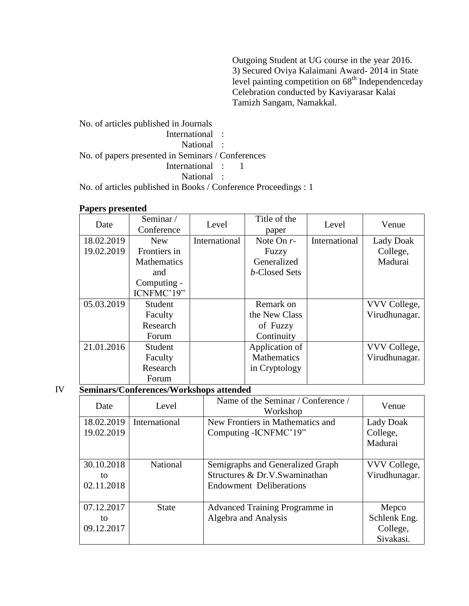Outgoing Student at UG course in the year 2016. 3) Secured Oviya Kalaimani Award- 2014 in State level painting competition on 68th Independenceday Celebration conducted by Kaviyarasar Kalai Tamizh Sangam, Namakkal.

No. of articles published in Journals International : National : No. of papers presented in Seminars / Conferences International : 1 National :

No. of articles published in Books / Conference Proceedings : 1

| Date       | Seminar/<br>Conference | Level         | Title of the<br>paper | Level         | Venue         |
|------------|------------------------|---------------|-----------------------|---------------|---------------|
| 18.02.2019 | <b>New</b>             | International | Note On $r$ -         | International | Lady Doak     |
| 19.02.2019 | Frontiers in           |               | Fuzzy                 |               | College,      |
|            | <b>Mathematics</b>     |               | Generalized           |               | Madurai       |
|            | and                    |               | b-Closed Sets         |               |               |
|            | Computing -            |               |                       |               |               |
|            | ICNFMC'19"             |               |                       |               |               |
| 05.03.2019 | Student                |               | Remark on             |               | VVV College,  |
|            | Faculty                |               | the New Class         |               | Virudhunagar. |
|            | Research               |               | of Fuzzy              |               |               |
|            | Forum                  |               | Continuity            |               |               |
| 21.01.2016 | Student                |               | Application of        |               | VVV College,  |
|            | Faculty                |               | <b>Mathematics</b>    |               | Virudhunagar. |
|            | Research               |               | in Cryptology         |               |               |
|            | Forum                  |               |                       |               |               |

IV **Seminars/Conferences/Workshops attended**

| Date                           | Level         | Name of the Seminar / Conference /<br>Workshop                                                      | Venue                                          |
|--------------------------------|---------------|-----------------------------------------------------------------------------------------------------|------------------------------------------------|
| 18.02.2019<br>19.02.2019       | International | New Frontiers in Mathematics and<br>Computing - ICNFMC'19"                                          | Lady Doak<br>College,<br>Madurai               |
| 30.10.2018<br>to<br>02.11.2018 | National      | Semigraphs and Generalized Graph<br>Structures & Dr.V.Swaminathan<br><b>Endowment Deliberations</b> | VVV College,<br>Virudhunagar.                  |
| 07.12.2017<br>to<br>09.12.2017 | <b>State</b>  | Advanced Training Programme in<br>Algebra and Analysis                                              | Mepco<br>Schlenk Eng.<br>College,<br>Sivakasi. |